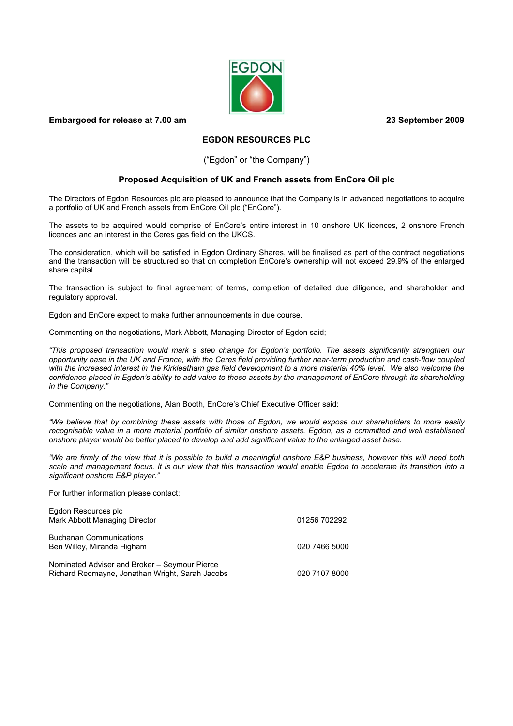**EGDON** 

# **Embargoed for release at 7.00 am 23 September 2009**

# **EGDON RESOURCES PLC**

## ("Egdon" or "the Company")

# **Proposed Acquisition of UK and French assets from EnCore Oil plc**

The Directors of Egdon Resources plc are pleased to announce that the Company is in advanced negotiations to acquire a portfolio of UK and French assets from EnCore Oil plc ("EnCore").

The assets to be acquired would comprise of EnCore's entire interest in 10 onshore UK licences, 2 onshore French licences and an interest in the Ceres gas field on the UKCS.

The consideration, which will be satisfied in Egdon Ordinary Shares, will be finalised as part of the contract negotiations and the transaction will be structured so that on completion EnCore's ownership will not exceed 29.9% of the enlarged share capital.

The transaction is subject to final agreement of terms, completion of detailed due diligence, and shareholder and regulatory approval.

Egdon and EnCore expect to make further announcements in due course.

Commenting on the negotiations, Mark Abbott, Managing Director of Egdon said;

*"This proposed transaction would mark a step change for Egdon's portfolio. The assets significantly strengthen our opportunity base in the UK and France, with the Ceres field providing further near-term production and cash-flow coupled with the increased interest in the Kirkleatham gas field development to a more material 40% level. We also welcome the confidence placed in Egdon's ability to add value to these assets by the management of EnCore through its shareholding in the Company."* 

Commenting on the negotiations, Alan Booth, EnCore's Chief Executive Officer said:

*"We believe that by combining these assets with those of Egdon, we would expose our shareholders to more easily*  recognisable value in a more material portfolio of similar onshore assets. Egdon, as a committed and well established *onshore player would be better placed to develop and add significant value to the enlarged asset base.* 

*"We are firmly of the view that it is possible to build a meaningful onshore E&P business, however this will need both scale and management focus. It is our view that this transaction would enable Egdon to accelerate its transition into a significant onshore E&P player."* 

For further information please contact:

| Egdon Resources plc<br>Mark Abbott Managing Director                                             | 01256 702292  |
|--------------------------------------------------------------------------------------------------|---------------|
| <b>Buchanan Communications</b><br>Ben Willey, Miranda Higham                                     | 020 7466 5000 |
| Nominated Adviser and Broker - Seymour Pierce<br>Richard Redmayne, Jonathan Wright, Sarah Jacobs | 020 7107 8000 |